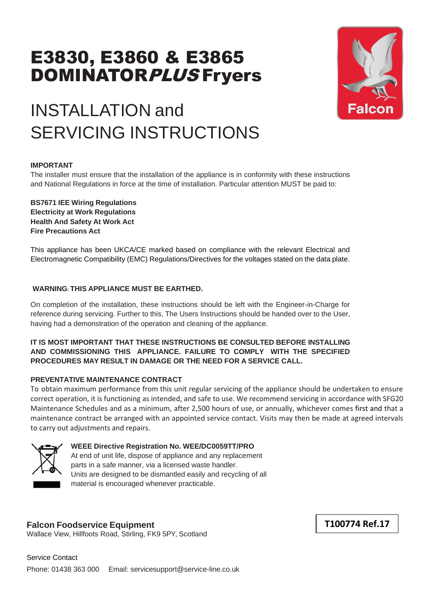# E3830, E3860 & E3865 DOMINATORPLUS Fryers



# INSTALLATION and SERVICING INSTRUCTIONS

#### **IMPORTANT**

The installer must ensure that the installation of the appliance is in conformity with these instructions and National Regulations in force at the time of installation. Particular attention MUST be paid to:

**BS7671 IEE Wiring Regulations Electricity at Work Regulations Health And Safety At Work Act Fire Precautions Act**

This appliance has been UKCA/CE marked based on compliance with the relevant Electrical and Electromagnetic Compatibility (EMC) Regulations/Directives for the voltages stated on the data plate.

#### **WARNING: THIS APPLIANCE MUST BE EARTHED.**

On completion of the installation, these instructions should be left with the Engineer-in-Charge for reference during servicing. Further to this, The Users Instructions should be handed over to the User, having had a demonstration of the operation and cleaning of the appliance.

#### **IT IS MOST IMPORTANT THAT THESE INSTRUCTIONS BE CONSULTED BEFORE INSTALLING AND COMMISSIONING THIS APPLIANCE. FAILURE TO COMPLY WITH THE SPECIFIED PROCEDURES MAY RESULT IN DAMAGE OR THE NEED FOR A SERVICE CALL.**

#### **PREVENTATIVE MAINTENANCE CONTRACT**

To obtain maximum performance from this unit regular servicing of the appliance should be undertaken to ensure correct operation, it is functioning as intended, and safe to use. We recommend servicing in accordance with SFG20 Maintenance Schedules and as a minimum, after 2,500 hours of use, or annually, whichever comes first and that a maintenance contract be arranged with an appointed service contact. Visits may then be made at agreed intervals to carry out adjustments and repairs.



#### **WEEE Directive Registration No. WEE/DC0059TT/PRO**

At end of unit life, dispose of appliance and any replacement parts in a safe manner, via a licensed waste handler. Units are designed to be dismantled easily and recycling of all material is encouraged whenever practicable.

#### **Falcon Foodservice Equipment**

Wallace View, Hillfoots Road, Stirling, FK9 5PY, Scotland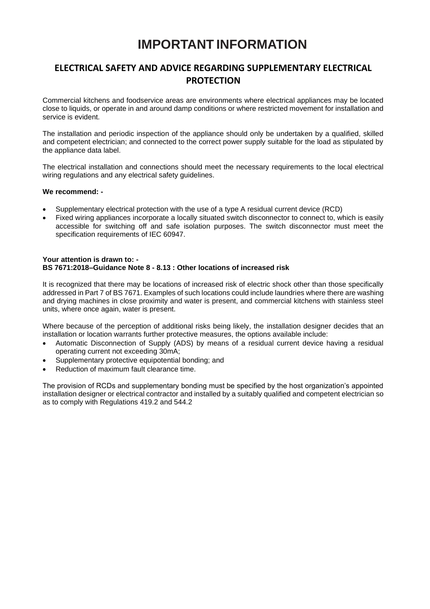# **IMPORTANT INFORMATION**

### **ELECTRICAL SAFETY AND ADVICE REGARDING SUPPLEMENTARY ELECTRICAL PROTECTION**

Commercial kitchens and foodservice areas are environments where electrical appliances may be located close to liquids, or operate in and around damp conditions or where restricted movement for installation and service is evident.

The installation and periodic inspection of the appliance should only be undertaken by a qualified, skilled and competent electrician; and connected to the correct power supply suitable for the load as stipulated by the appliance data label.

The electrical installation and connections should meet the necessary requirements to the local electrical wiring regulations and any electrical safety guidelines.

#### **We recommend: -**

- Supplementary electrical protection with the use of a type A residual current device (RCD)
- Fixed wiring appliances incorporate a locally situated switch disconnector to connect to, which is easily accessible for switching off and safe isolation purposes. The switch disconnector must meet the specification requirements of IEC 60947.

#### **Your attention is drawn to: - BS 7671:2018–Guidance Note 8 - 8.13 : Other locations of increased risk**

It is recognized that there may be locations of increased risk of electric shock other than those specifically addressed in Part 7 of BS 7671. Examples of such locations could include laundries where there are washing and drying machines in close proximity and water is present, and commercial kitchens with stainless steel units, where once again, water is present.

Where because of the perception of additional risks being likely, the installation designer decides that an installation or location warrants further protective measures, the options available include:

- Automatic Disconnection of Supply (ADS) by means of a residual current device having a residual operating current not exceeding 30mA;
- Supplementary protective equipotential bonding; and
- Reduction of maximum fault clearance time.

The provision of RCDs and supplementary bonding must be specified by the host organization's appointed installation designer or electrical contractor and installed by a suitably qualified and competent electrician so as to comply with Regulations 419.2 and 544.2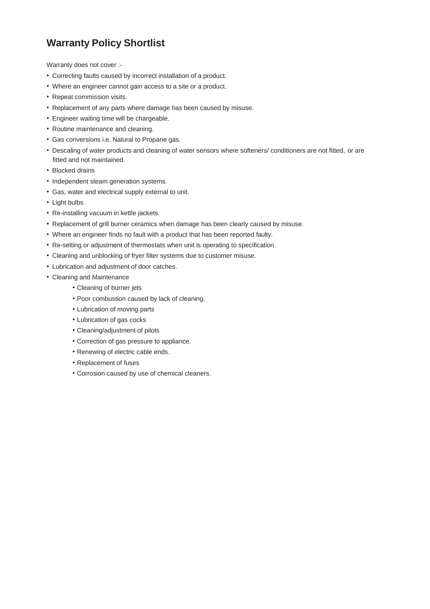# **Warranty Policy Shortlist**

Warranty does not cover :-

- Correcting faults caused by incorrect installation of a product.
- Where an engineer cannot gain access to a site or a product.
- Repeat commission visits.
- Replacement of any parts where damage has been caused by misuse.
- Engineer waiting time will be chargeable.
- Routine maintenance and cleaning.
- Gas conversions i.e. Natural to Propane gas.
- Descaling of water products and cleaning of water sensors where softeners/ conditioners are not fitted, or are fitted and not maintained.
- Blocked drains
- Independent steam generation systems.
- Gas, water and electrical supply external to unit.
- Light bulbs
- Re-installing vacuum in kettle jackets.
- Replacement of grill burner ceramics when damage has been clearly caused by misuse.
- Where an engineer finds no fault with a product that has been reported faulty.
- Re-setting or adjustment of thermostats when unit is operating to specification.
- Cleaning and unblocking of fryer filter systems due to customer misuse.
- Lubrication and adjustment of door catches.
- Cleaning and Maintenance
	- Cleaning of burner jets
	- Poor combustion caused by lack of cleaning.
	- Lubrication of moving parts
	- Lubrication of gas cocks
	- Cleaning/adjustment of pilots
	- Correction of gas pressure to appliance.
	- Renewing of electric cable ends.
	- Replacement of fuses
	- Corrosion caused by use of chemical cleaners.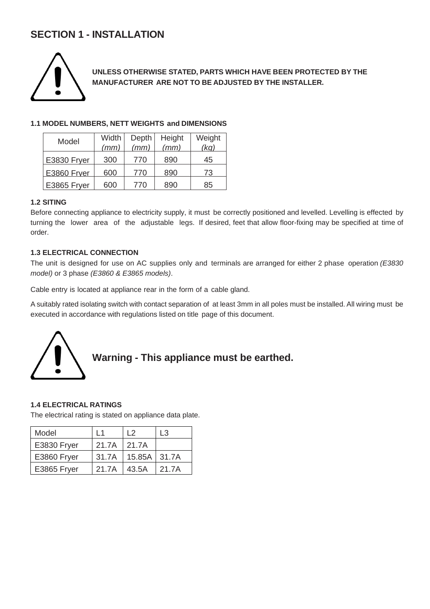# **SECTION 1 - INSTALLATION**



**UNLESS OTHERWISE STATED, PARTS WHICH HAVE BEEN PROTECTED BY THE MANUFACTURER ARE NOT TO BE ADJUSTED BY THE INSTALLER.**

#### **1.1 MODEL NUMBERS, NETT WEIGHTS and DIMENSIONS**

| Model       | Width | Depth | Height | Weight |
|-------------|-------|-------|--------|--------|
|             | (mm)  | (mm)  | (mm)   | (kq)   |
| E3830 Fryer | 300   | 770   | 890    | 45     |
| E3860 Frver | 600   | 770   | 890    | 73     |
| E3865 Fryer | 600   | 770   | 890    | 85     |

#### **1.2 SITING**

Before connecting appliance to electricity supply, it must be correctly positioned and levelled. Levelling is effected by turning the lower area of the adjustable legs. If desired, feet that allow floor-fixing may be specified at time of order.

#### **1.3 ELECTRICAL CONNECTION**

The unit is designed for use on AC supplies only and terminals are arranged for either 2 phase operation *(E3830 model)* or 3 phase *(E3860 & E3865 models)*.

Cable entry is located at appliance rear in the form of a cable gland.

A suitably rated isolating switch with contact separation of at least 3mm in all poles must be installed. All wiring must be executed in accordance with regulations listed on title page of this document.



# **Warning - This appliance must be earthed.**

#### **1.4 ELECTRICAL RATINGS**

The electrical rating is stated on appliance data plate.

| Model       | $\overline{1}$ 1 | L <sub>2</sub>         | L3     |
|-------------|------------------|------------------------|--------|
| E3830 Fryer | 21.7A            | 121.7A                 |        |
| E3860 Fryer |                  | 31.7A   15.85A   31.7A |        |
| E3865 Fryer | 21.7A            | 43.5A                  | 121.7A |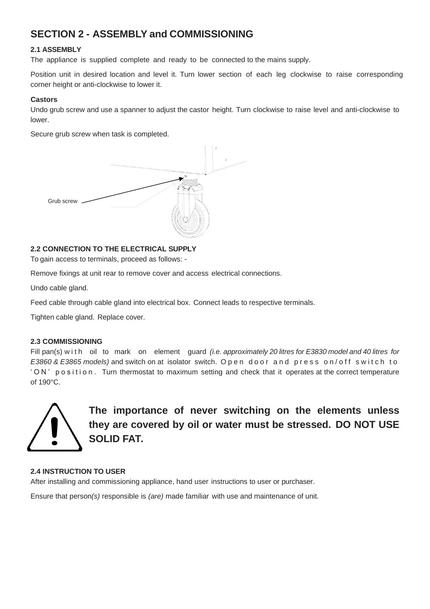# **SECTION 2 - ASSEMBLY and COMMISSIONING**

#### **2.1 ASSEMBLY**

The appliance is supplied complete and ready to be connected to the mains supply.

Position unit in desired location and level it. Turn lower section of each leg clockwise to raise corresponding corner height or anti-clockwise to lower it.

#### **Castors**

Undo grub screw and use a spanner to adjust the castor height. Turn clockwise to raise level and anti-clockwise to lower.

Secure grub screw when task is completed.



#### **2.2 CONNECTION TO THE ELECTRICAL SUPPLY**

To gain access to terminals, proceed as follows: -

Remove fixings at unit rear to remove cover and access electrical connections.

Undo cable gland.

Feed cable through cable gland into electrical box. Connect leads to respective terminals.

Tighten cable gland. Replace cover.

#### **2.3 COMMISSIONING**

Fill pan(s) w i t h oil to mark on element guard *(i.e. approximately 20 litres for E3830 model and 40 litres for E3860 & E3865 models*) and switch on at isolator switch. Open door and press on/off switch to ' O N' position. Turn thermostat to maximum setting and check that it operates at the correct temperature of 190°C.



**The importance of never switching on the elements unless they are covered by oil or water must be stressed. DO NOT USE SOLID FAT.**

#### **2.4 INSTRUCTION TO USER**

After installing and commissioning appliance, hand user instructions to user or purchaser.

Ensure that person*(s)* responsible is *(are)* made familiar with use and maintenance of unit.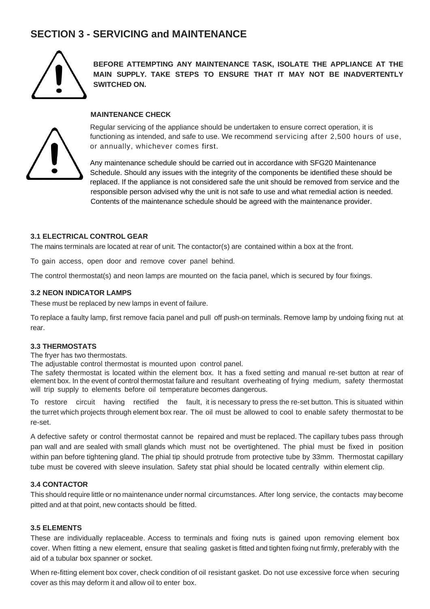## **SECTION 3 - SERVICING and MAINTENANCE**



**BEFORE ATTEMPTING ANY MAINTENANCE TASK, ISOLATE THE APPLIANCE AT THE MAIN SUPPLY. TAKE STEPS TO ENSURE THAT IT MAY NOT BE INADVERTENTLY SWITCHED ON.**

#### **MAINTENANCE CHECK**



Regular servicing of the appliance should be undertaken to ensure correct operation, it is functioning as intended, and safe to use. We recommend servicing after 2,500 hours of use, or annually, whichever comes first.

Any maintenance schedule should be carried out in accordance with SFG20 Maintenance Schedule. Should any issues with the integrity of the components be identified these should be replaced. If the appliance is not considered safe the unit should be removed from service and the responsible person advised why the unit is not safe to use and what remedial action is needed. Contents of the maintenance schedule should be agreed with the maintenance provider.

#### **3.1 ELECTRICAL CONTROL GEAR**

The mains terminals are located at rear of unit. The contactor(s) are contained within a box at the front.

To gain access, open door and remove cover panel behind.

The control thermostat(s) and neon lamps are mounted on the facia panel, which is secured by four fixings.

#### **3.2 NEON INDICATOR LAMPS**

These must be replaced by new lamps in event of failure.

To replace a faulty lamp, first remove facia panel and pull off push-on terminals. Remove lamp by undoing fixing nut at rear.

#### **3.3 THERMOSTATS**

The fryer has two thermostats.

The adjustable control thermostat is mounted upon control panel.

The safety thermostat is located within the element box. It has a fixed setting and manual re-set button at rear of element box. In the event of control thermostat failure and resultant overheating of frying medium, safety thermostat will trip supply to elements before oil temperature becomes dangerous.

To restore circuit having rectified the fault, it is necessary to press the re-set button. This is situated within the turret which projects through element box rear. The oil must be allowed to cool to enable safety thermostat to be re-set.

A defective safety or control thermostat cannot be repaired and must be replaced. The capillary tubes pass through pan wall and are sealed with small glands which must not be overtightened. The phial must be fixed in position within pan before tightening gland. The phial tip should protrude from protective tube by 33mm. Thermostat capillary tube must be covered with sleeve insulation. Safety stat phial should be located centrally within element clip.

#### **3.4 CONTACTOR**

This should require little or no maintenance under normal circumstances. After long service, the contacts may become pitted and at that point, new contacts should be fitted.

#### **3.5 ELEMENTS**

These are individually replaceable. Access to terminals and fixing nuts is gained upon removing element box cover. When fitting a new element, ensure that sealing gasket is fitted and tighten fixing nut firmly, preferably with the aid of a tubular box spanner or socket.

When re-fitting element box cover, check condition of oil resistant gasket. Do not use excessive force when securing cover as this may deform it and allow oil to enter box.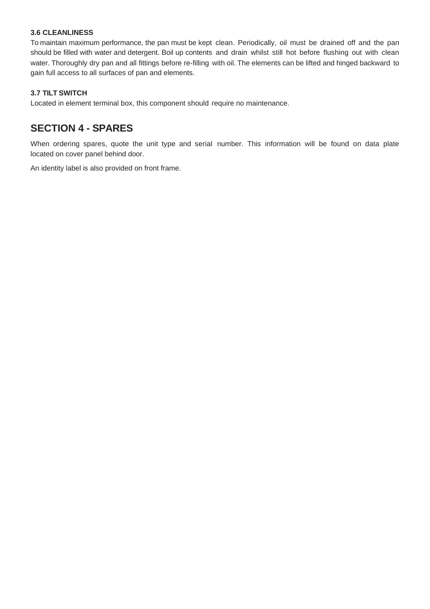#### **3.6 CLEANLINESS**

To maintain maximum performance, the pan must be kept clean. Periodically, oil must be drained off and the pan should be filled with water and detergent. Boil up contents and drain whilst still hot before flushing out with clean water. Thoroughly dry pan and all fittings before re-filling with oil. The elements can be lifted and hinged backward to gain full access to all surfaces of pan and elements.

#### **3.7 TILT SWITCH**

Located in element terminal box, this component should require no maintenance.

## **SECTION 4 - SPARES**

When ordering spares, quote the unit type and serial number. This information will be found on data plate located on cover panel behind door.

An identity label is also provided on front frame.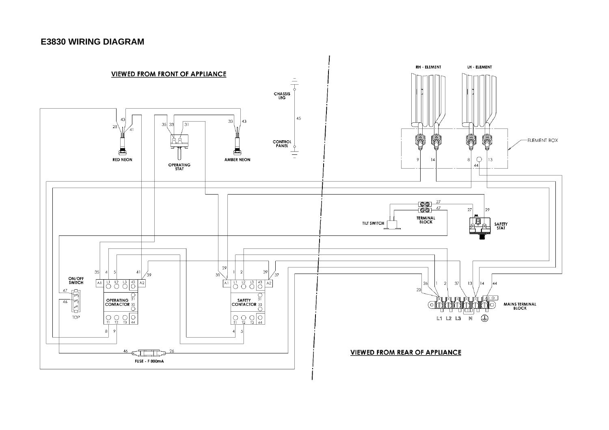#### **E3830 WIRING DIAGRAM**

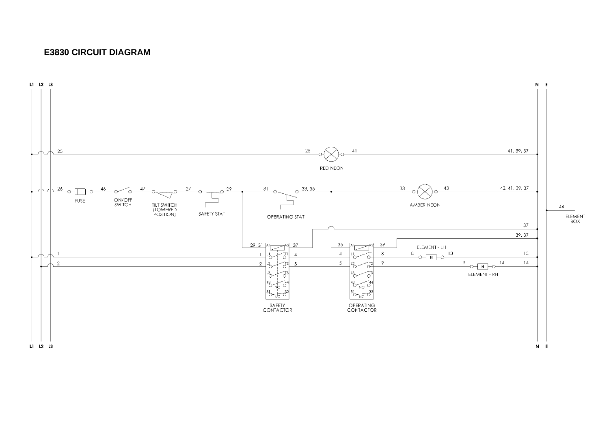#### **E3830 CIRCUIT DIAGRAM**

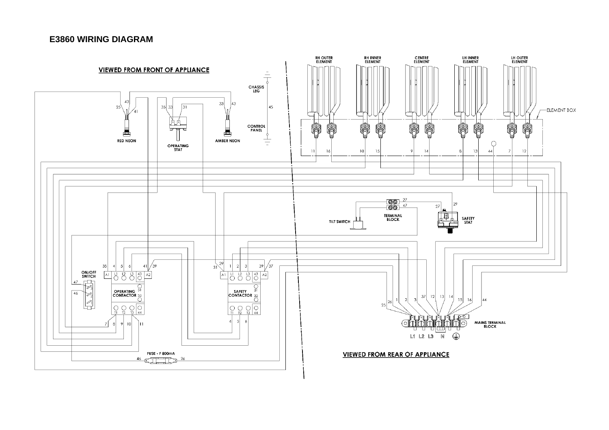#### **E3860 WIRING DIAGRAM**

![](_page_9_Figure_1.jpeg)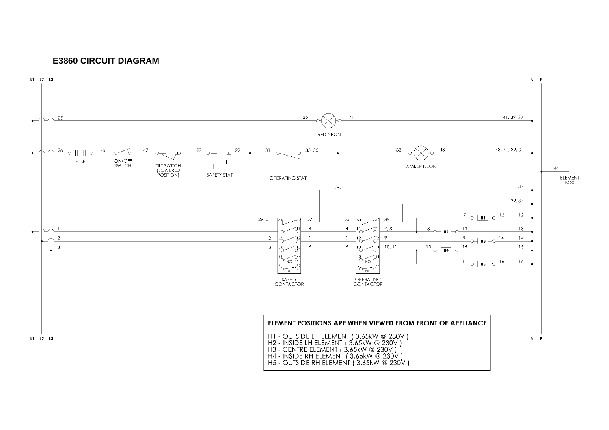#### **E3860 CIRCUIT DIAGRAM**

![](_page_10_Figure_1.jpeg)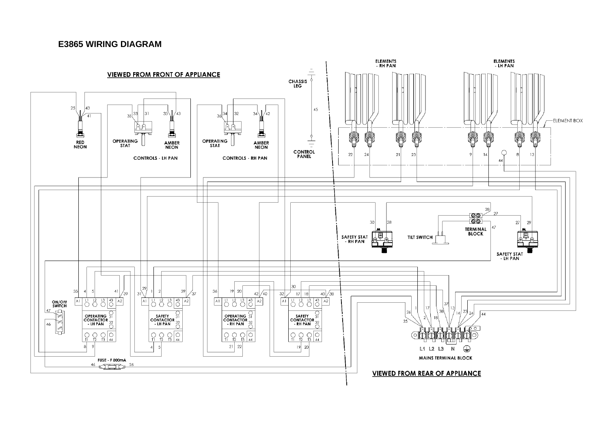#### **E3865 WIRING DIAGRAM**

![](_page_11_Figure_1.jpeg)